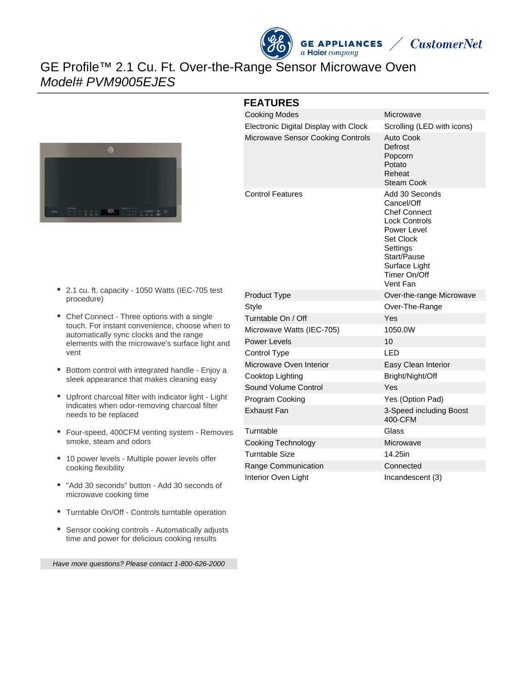



## GE Profile™ 2.1 Cu. Ft. Over-the-Range Sensor Microwave Oven Model# PVM9005EJES



#### **FEATURES**

| <b>Cooking Modes</b>                     | Microwave                                                                                                                                                                       |
|------------------------------------------|---------------------------------------------------------------------------------------------------------------------------------------------------------------------------------|
| Electronic Digital Display with Clock    | Scrolling (LED with icons)                                                                                                                                                      |
| <b>Microwave Sensor Cooking Controls</b> | Auto Cook<br>Defrost<br>Popcorn<br>Potato<br>Reheat<br>Steam Cook                                                                                                               |
| <b>Control Features</b>                  | Add 30 Seconds<br>Cancel/Off<br><b>Chef Connect</b><br><b>Lock Controls</b><br>Power Level<br>Set Clock<br>Settings<br>Start/Pause<br>Surface Light<br>Timer On/Off<br>Vent Fan |
| <b>Product Type</b>                      | Over-the-range Microwave                                                                                                                                                        |
| Style                                    | Over-The-Range                                                                                                                                                                  |
| Turntable On / Off                       | Yes                                                                                                                                                                             |
| Microwave Watts (IEC-705)                | 1050.0W                                                                                                                                                                         |
| <b>Power Levels</b>                      | 10                                                                                                                                                                              |
| Control Type                             | LED                                                                                                                                                                             |
| Microwave Oven Interior                  | Easy Clean Interior                                                                                                                                                             |
| Cooktop Lighting                         | Bright/Night/Off                                                                                                                                                                |
| Sound Volume Control                     | Yes                                                                                                                                                                             |
| Program Cooking                          | Yes (Option Pad)                                                                                                                                                                |
| <b>Exhaust Fan</b>                       | 3-Speed including Boost<br>400-CFM                                                                                                                                              |
| Turntable                                | Glass                                                                                                                                                                           |
| Cooking Technology                       | Microwave                                                                                                                                                                       |
| <b>Turntable Size</b>                    | 14.25in                                                                                                                                                                         |
| Range Communication                      | Connected                                                                                                                                                                       |
| Interior Oven Light                      | Incandescent (3)                                                                                                                                                                |

- 2.1 cu. ft. capacity 1050 Watts (IEC-705 test procedure)
- Chef Connect Three options with a single touch. For instant convenience, choose when to automatically sync clocks and the range elements with the microwave's surface light and vent
- Bottom control with integrated handle Enjoy a sleek appearance that makes cleaning easy
- Upfront charcoal filter with indicator light Light indicates when odor-removing charcoal filter needs to be replaced
- Four-speed, 400CFM venting system Removes smoke, steam and odors
- 10 power levels Multiple power levels offer cooking flexibility
- "Add 30 seconds" button Add 30 seconds of microwave cooking time
- Turntable On/Off Controls turntable operation
- $\bullet$ Sensor cooking controls - Automatically adjusts time and power for delicious cooking results

Have more questions? Please contact 1-800-626-2000